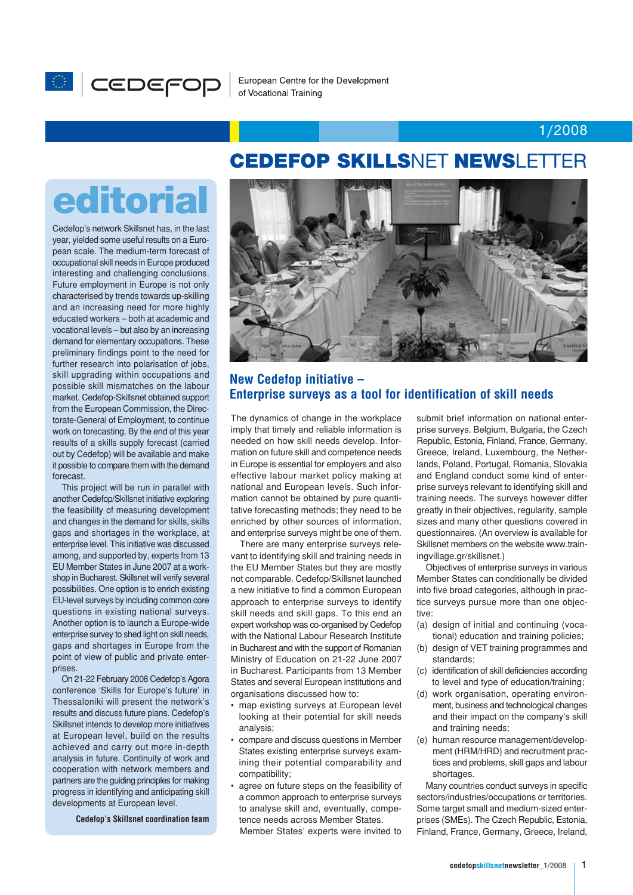

#### 1/2008

# editorial

Cedefop's network Skillsnet has, in the last year, yielded some useful results on a European scale. The medium-term forecast of occupational skill needs in Europe produced interesting and challenging conclusions. Future employment in Europe is not only characterised by trends towards up-skilling and an increasing need for more highly educated workers – both at academic and vocational levels – but also by an increasing demand for elementary occupations. These preliminary findings point to the need for further research into polarisation of jobs, skill upgrading within occupations and possible skill mismatches on the labour market. Cedefop-Skillsnet obtained support from the European Commission, the Directorate-General of Employment, to continue work on forecasting. By the end of this year results of a skills supply forecast (carried out by Cedefop) will be available and make it possible to compare them with the demand forecast.

This project will be run in parallel with another Cedefop/Skillsnet initiative exploring the feasibility of measuring development and changes in the demand for skills, skills gaps and shortages in the workplace, at enterprise level. This initiative was discussed among, and supported by, experts from 13 EU Member States in June 2007 at a workshop in Bucharest. Skillsnet will verify several possibilities. One option is to enrich existing EU-level surveys by including common core questions in existing national surveys. Another option is to launch a Europe-wide enterprise survey to shed light on skill needs, gaps and shortages in Europe from the point of view of public and private enterprises.

On 21-22 February 2008 Cedefop's Agora conference 'Skills for Europe's future' in Thessaloniki will present the network's results and discuss future plans. Cedefop's Skillsnet intends to develop more initiatives at European level, build on the results achieved and carry out more in-depth analysis in future. Continuity of work and cooperation with network members and partners are the guiding principles for making progress in identifying and anticipating skill developments at European level.

**Cedefop's Skillsnet coordination team**

## CEDEFOP SKILLSNET NEWSLETTER



#### **New Cedefop initiative – Enterprise surveys as a tool for identification of skill needs**

The dynamics of change in the workplace imply that timely and reliable information is needed on how skill needs develop. Information on future skill and competence needs in Europe is essential for employers and also effective labour market policy making at national and European levels. Such information cannot be obtained by pure quantitative forecasting methods; they need to be enriched by other sources of information, and enterprise surveys might be one of them.

There are many enterprise surveys relevant to identifying skill and training needs in the EU Member States but they are mostly not comparable. Cedefop/Skillsnet launched a new initiative to find a common European approach to enterprise surveys to identify skill needs and skill gaps. To this end an expert workshop was co-organised by Cedefop with the National Labour Research Institute in Bucharest and with the support of Romanian Ministry of Education on 21-22 June 2007 in Bucharest. Participants from 13 Member States and several European institutions and organisations discussed how to:

- map existing surveys at European level looking at their potential for skill needs analysis;
- compare and discuss questions in Member States existing enterprise surveys examining their potential comparability and compatibility;
- agree on future steps on the feasibility of a common approach to enterprise surveys to analyse skill and, eventually, competence needs across Member States. Member States' experts were invited to

submit brief information on national enterprise surveys. Belgium, Bulgaria, the Czech Republic, Estonia, Finland, France, Germany, Greece, Ireland, Luxembourg, the Netherlands, Poland, Portugal, Romania, Slovakia and England conduct some kind of enterprise surveys relevant to identifying skill and training needs. The surveys however differ greatly in their objectives, regularity, sample sizes and many other questions covered in questionnaires. (An overview is available for Skillsnet members on the website www.trainingvillage.gr/skillsnet.)

Objectives of enterprise surveys in various Member States can conditionally be divided into five broad categories, although in practice surveys pursue more than one objective:

- (a) design of initial and continuing (vocational) education and training policies;
- (b) design of VET training programmes and standards;
- (c) identification of skill deficiencies according to level and type of education/training;
- (d) work organisation, operating environment, business and technological changes and their impact on the company's skill and training needs;
- (e) human resource management/development (HRM/HRD) and recruitment practices and problems, skill gaps and labour shortages.

Many countries conduct surveys in specific sectors/industries/occupations or territories. Some target small and medium-sized enterprises (SMEs). The Czech Republic, Estonia, Finland, France, Germany, Greece, Ireland,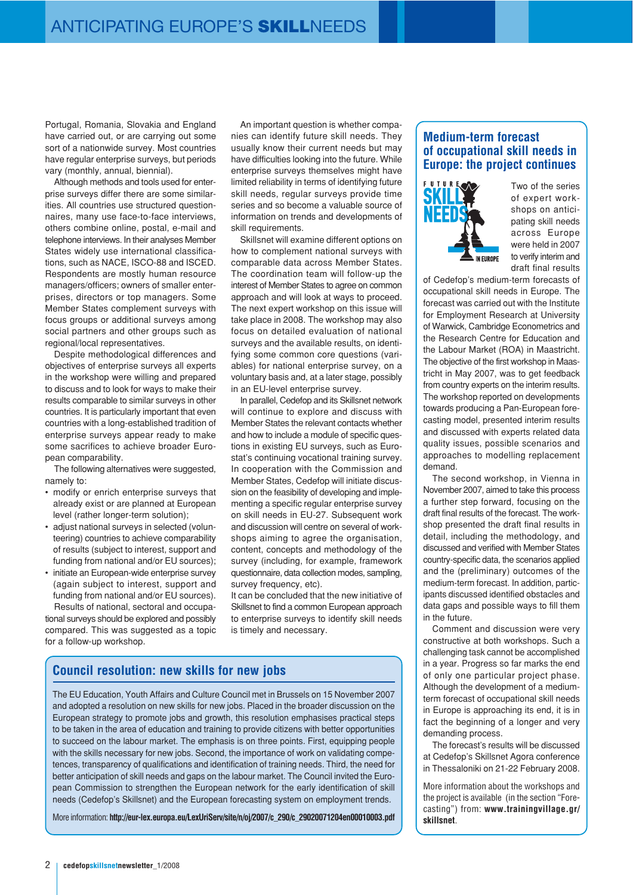Portugal, Romania, Slovakia and England have carried out, or are carrying out some sort of a nationwide survey. Most countries have regular enterprise surveys, but periods vary (monthly, annual, biennial).

Although methods and tools used for enterprise surveys differ there are some similarities. All countries use structured questionnaires, many use face-to-face interviews, others combine online, postal, e-mail and telephone interviews. In their analyses Member States widely use international classifications, such as NACE, ISCO-88 and ISCED. Respondents are mostly human resource managers/officers; owners of smaller enterprises, directors or top managers. Some Member States complement surveys with focus groups or additional surveys among social partners and other groups such as regional/local representatives.

Despite methodological differences and objectives of enterprise surveys all experts in the workshop were willing and prepared to discuss and to look for ways to make their results comparable to similar surveys in other countries. It is particularly important that even countries with a long-established tradition of enterprise surveys appear ready to make some sacrifices to achieve broader European comparability.

The following alternatives were suggested, namely to:

- modify or enrich enterprise surveys that already exist or are planned at European level (rather longer-term solution);
- adjust national surveys in selected (volunteering) countries to achieve comparability of results (subject to interest, support and funding from national and/or EU sources);
- initiate an European-wide enterprise survey (again subject to interest, support and funding from national and/or EU sources).

Results of national, sectoral and occupational surveys should be explored and possibly compared. This was suggested as a topic for a follow-up workshop.

An important question is whether companies can identify future skill needs. They usually know their current needs but may have difficulties looking into the future. While enterprise surveys themselves might have limited reliability in terms of identifying future skill needs, regular surveys provide time series and so become a valuable source of information on trends and developments of skill requirements.

Skillsnet will examine different options on how to complement national surveys with comparable data across Member States. The coordination team will follow-up the interest of Member States to agree on common approach and will look at ways to proceed. The next expert workshop on this issue will take place in 2008. The workshop may also focus on detailed evaluation of national surveys and the available results, on identifying some common core questions (variables) for national enterprise survey, on a voluntary basis and, at a later stage, possibly in an EU-level enterprise survey.

In parallel, Cedefop and its Skillsnet network will continue to explore and discuss with Member States the relevant contacts whether and how to include a module of specific questions in existing EU surveys, such as Eurostat's continuing vocational training survey. In cooperation with the Commission and Member States, Cedefop will initiate discussion on the feasibility of developing and implementing a specific regular enterprise survey on skill needs in EU-27. Subsequent work and discussion will centre on several of workshops aiming to agree the organisation, content, concepts and methodology of the survey (including, for example, framework questionnaire, data collection modes, sampling, survey frequency, etc).

It can be concluded that the new initiative of Skillsnet to find a common European approach to enterprise surveys to identify skill needs is timely and necessary.

#### **Council resolution: new skills for new jobs**

The EU Education, Youth Affairs and Culture Council met in Brussels on 15 November 2007 and adopted a resolution on new skills for new jobs. Placed in the broader discussion on the European strategy to promote jobs and growth, this resolution emphasises practical steps to be taken in the area of education and training to provide citizens with better opportunities to succeed on the labour market. The emphasis is on three points. First, equipping people with the skills necessary for new jobs. Second, the importance of work on validating competences, transparency of qualifications and identification of training needs. Third, the need for better anticipation of skill needs and gaps on the labour market. The Council invited the European Commission to strengthen the European network for the early identification of skill needs (Cedefop's Skillsnet) and the European forecasting system on employment trends.

More information: **http://eur-lex.europa.eu/LexUriServ/site/n/oj/2007/c\_290/c\_29020071204en00010003.pdf**

#### **Medium-term forecast of occupational skill needs in Europe: the project continues**



Two of the series of expert workshops on anticipating skill needs across Europe were held in 2007 to verify interim and draft final results

of Cedefop's medium-term forecasts of occupational skill needs in Europe. The forecast was carried out with the Institute for Employment Research at University of Warwick, Cambridge Econometrics and the Research Centre for Education and the Labour Market (ROA) in Maastricht. The objective of the first workshop in Maastricht in May 2007, was to get feedback from country experts on the interim results. The workshop reported on developments towards producing a Pan-European forecasting model, presented interim results and discussed with experts related data quality issues, possible scenarios and approaches to modelling replacement demand.

The second workshop, in Vienna in November 2007, aimed to take this process a further step forward, focusing on the draft final results of the forecast. The workshop presented the draft final results in detail, including the methodology, and discussed and verified with Member States country-specific data, the scenarios applied and the (preliminary) outcomes of the medium-term forecast. In addition, participants discussed identified obstacles and data gaps and possible ways to fill them in the future.

Comment and discussion were very constructive at both workshops. Such a challenging task cannot be accomplished in a year. Progress so far marks the end of only one particular project phase. Although the development of a mediumterm forecast of occupational skill needs in Europe is approaching its end, it is in fact the beginning of a longer and very demanding process.

The forecast's results will be discussed at Cedefop's Skillsnet Agora conference in Thessaloniki on 21-22 February 2008.

More information about the workshops and the project is available (in the section "Forecasting") from: **www.trainingvillage.gr/ skillsnet**.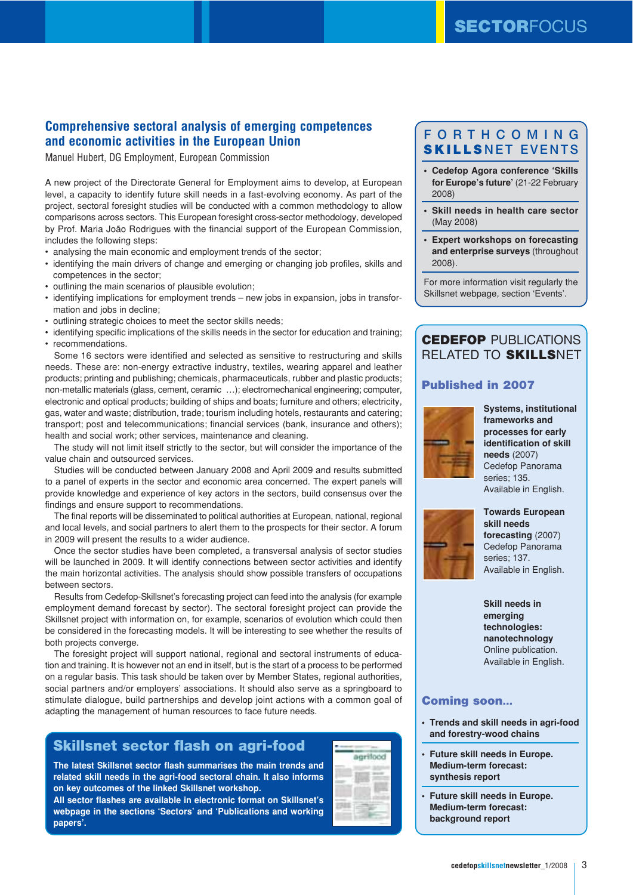#### **Comprehensive sectoral analysis of emerging competences and economic activities in the European Union**

Manuel Hubert, DG Employment, European Commission

A new project of the Directorate General for Employment aims to develop, at European level, a capacity to identify future skill needs in a fast-evolving economy. As part of the project, sectoral foresight studies will be conducted with a common methodology to allow comparisons across sectors. This European foresight cross-sector methodology, developed by Prof. Maria João Rodrigues with the financial support of the European Commission, includes the following steps:

- analysing the main economic and employment trends of the sector;
- identifying the main drivers of change and emerging or changing job profiles, skills and competences in the sector;
- outlining the main scenarios of plausible evolution;
- identifying implications for employment trends new jobs in expansion, jobs in transformation and jobs in decline:
- outlining strategic choices to meet the sector skills needs;
- identifying specific implications of the skills needs in the sector for education and training; • recommendations.

Some 16 sectors were identified and selected as sensitive to restructuring and skills needs. These are: non-energy extractive industry, textiles, wearing apparel and leather products; printing and publishing; chemicals, pharmaceuticals, rubber and plastic products; non-metallic materials (glass, cement, ceramic …); electromechanical engineering; computer, electronic and optical products; building of ships and boats; furniture and others; electricity, gas, water and waste; distribution, trade; tourism including hotels, restaurants and catering; transport; post and telecommunications; financial services (bank, insurance and others); health and social work; other services, maintenance and cleaning.

The study will not limit itself strictly to the sector, but will consider the importance of the value chain and outsourced services.

Studies will be conducted between January 2008 and April 2009 and results submitted to a panel of experts in the sector and economic area concerned. The expert panels will provide knowledge and experience of key actors in the sectors, build consensus over the findings and ensure support to recommendations.

The final reports will be disseminated to political authorities at European, national, regional and local levels, and social partners to alert them to the prospects for their sector. A forum in 2009 will present the results to a wider audience.

Once the sector studies have been completed, a transversal analysis of sector studies will be launched in 2009. It will identify connections between sector activities and identify the main horizontal activities. The analysis should show possible transfers of occupations between sectors.

Results from Cedefop-Skillsnet's forecasting project can feed into the analysis (for example employment demand forecast by sector). The sectoral foresight project can provide the Skillsnet project with information on, for example, scenarios of evolution which could then be considered in the forecasting models. It will be interesting to see whether the results of both projects converge.

The foresight project will support national, regional and sectoral instruments of education and training. It is however not an end in itself, but is the start of a process to be performed on a regular basis. This task should be taken over by Member States, regional authorities, social partners and/or employers' associations. It should also serve as a springboard to stimulate dialogue, build partnerships and develop joint actions with a common goal of adapting the management of human resources to face future needs.

### Skillsnet sector flash on agri-food

**The latest Skillsnet sector flash summarises the main trends and related skill needs in the agri-food sectoral chain. It also informs on key outcomes of the linked Skillsnet workshop.**

**All sector flashes are available in electronic format on Skillsnet's webpage in the sections 'Sectors' and 'Publications and working papers'.**

| ٣s<br>ī<br>ī<br>÷T |
|--------------------|
|                    |
|                    |
|                    |
|                    |
|                    |
|                    |

## FORTHCOMING SKILLSNFT FVFNTS

- **Cedefop Agora conference 'Skills for Europe's future'** (21-22 February 2008)
- **Skill needs in health care sector** (May 2008)
- **Expert workshops on forecasting and enterprise surveys** (throughout 2008).

For more information visit regularly the Skillsnet webpage, section 'Events'.

## CEDEFOP PUBLICATIONS RELATED TO SKILLSNET

#### Published in 2007



**Systems, institutional frameworks and processes for early identification of skill needs** (2007) Cedefop Panorama series; 135. Available in English.



**Towards European skill needs forecasting** (2007) Cedefop Panorama series; 137. Available in English.

**Skill needs in emerging technologies: nanotechnology** Online publication. Available in English.

#### Coming soon…

- **Trends and skill needs in agri-food and forestry-wood chains**
- **Future skill needs in Europe. Medium-term forecast: synthesis report**
- **Future skill needs in Europe. Medium-term forecast: background report**